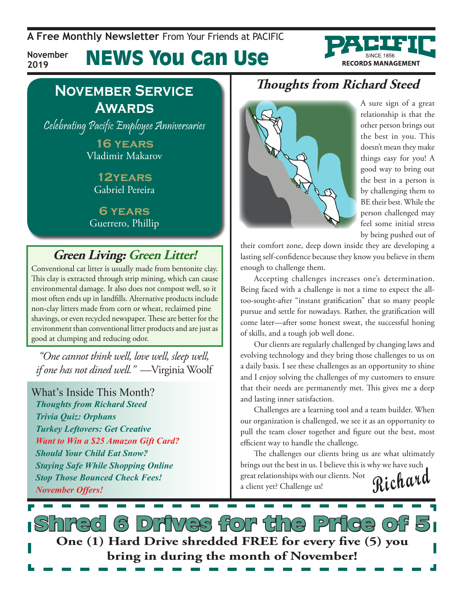**A Free Monthly Newsletter** From Your Friends at Pacific

**November 2019**

News You Can Use



#### **November Service Awards**

Celebrating Pacific Employee Anniversaries

**16 years** Vladimir Makarov

**12years** Gabriel Pereira

**6 years** Guerrero, Phillip

### **Green Living: Green Litter!**

Conventional cat litter is usually made from bentonite clay. This clay is extracted through strip mining, which can cause environmental damage. It also does not compost well, so it most often ends up in landfills. Alternative products include non-clay litters made from corn or wheat, reclaimed pine shavings, or even recycled newspaper. These are better for the environment than conventional litter products and are just as good at clumping and reducing odor.

*"One cannot think well, love well, sleep well, if one has not dined well."* —Virginia Woolf

What's Inside This Month? *Thoughts from Richard Steed Trivia Quiz: Orphans Turkey Leftovers: Get Creative Want to Win a \$25 Amazon Gift Card? Should Your Child Eat Snow? Staying Safe While Shopping Online Stop Those Bounced Check Fees! November Offers!*

#### **Thoughts from Richard Steed**



A sure sign of a great relationship is that the other person brings out the best in you. This doesn't mean they make things easy for you! A good way to bring out the best in a person is by challenging them to BE their best. While the person challenged may feel some initial stress by being pushed out of

their comfort zone, deep down inside they are developing a lasting self-confidence because they know you believe in them enough to challenge them.

Accepting challenges increases one's determination. Being faced with a challenge is not a time to expect the alltoo-sought-after "instant gratification" that so many people pursue and settle for nowadays. Rather, the gratification will come later—after some honest sweat, the successful honing of skills, and a tough job well done.

Our clients are regularly challenged by changing laws and evolving technology and they bring those challenges to us on a daily basis. I see these challenges as an opportunity to shine and I enjoy solving the challenges of my customers to ensure that their needs are permanently met. This gives me a deep and lasting inner satisfaction.

Challenges are a learning tool and a team builder. When our organization is challenged, we see it as an opportunity to pull the team closer together and figure out the best, most efficient way to handle the challenge.

**Richard** The challenges our clients bring us are what ultimately brings out the best in us. I believe this is why we have such great relationships with our clients. Not a client yet? Challenge us!

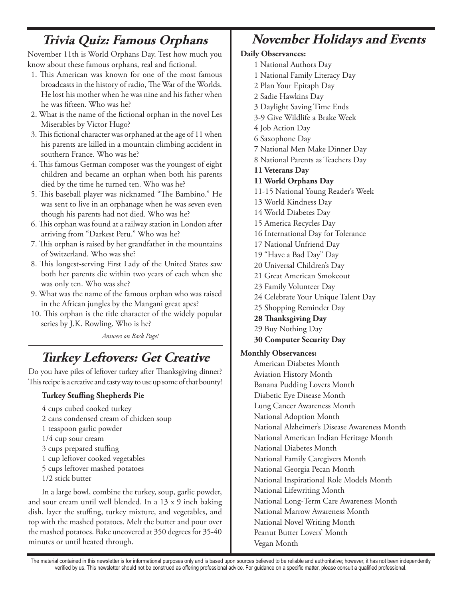#### **Trivia Quiz: Famous Orphans**

November 11th is World Orphans Day. Test how much you know about these famous orphans, real and fictional.

- 1. This American was known for one of the most famous broadcasts in the history of radio, The War of the Worlds. He lost his mother when he was nine and his father when he was fifteen. Who was he?
- 2. What is the name of the fictional orphan in the novel Les Miserables by Victor Hugo?
- 3. This fictional character was orphaned at the age of 11 when his parents are killed in a mountain climbing accident in southern France. Who was he?
- 4. This famous German composer was the youngest of eight children and became an orphan when both his parents died by the time he turned ten. Who was he?
- 5. This baseball player was nicknamed "The Bambino." He was sent to live in an orphanage when he was seven even though his parents had not died. Who was he?
- 6. This orphan was found at a railway station in London after arriving from "Darkest Peru." Who was he?
- 7. This orphan is raised by her grandfather in the mountains of Switzerland. Who was she?
- 8. This longest-serving First Lady of the United States saw both her parents die within two years of each when she was only ten. Who was she?
- 9. What was the name of the famous orphan who was raised in the African jungles by the Mangani great apes?
- 10. This orphan is the title character of the widely popular series by J.K. Rowling. Who is he?

*Answers on Back Page!*

## **Turkey Leftovers: Get Creative**

Do you have piles of leftover turkey after Thanksgiving dinner? This recipe is a creative and tasty way to use up some of that bounty!

#### **Turkey Stuffing Shepherds Pie**

4 cups cubed cooked turkey 2 cans condensed cream of chicken soup 1 teaspoon garlic powder 1/4 cup sour cream 3 cups prepared stuffing 1 cup leftover cooked vegetables 5 cups leftover mashed potatoes 1/2 stick butter

In a large bowl, combine the turkey, soup, garlic powder, and sour cream until well blended. In a 13 x 9 inch baking dish, layer the stuffing, turkey mixture, and vegetables, and top with the mashed potatoes. Melt the butter and pour over the mashed potatoes. Bake uncovered at 350 degrees for 35-40 minutes or until heated through.

## **November Holidays and Events**

#### **Daily Observances:**

- 1 National Authors Day
- 1 National Family Literacy Day
- 2 Plan Your Epitaph Day
- 2 Sadie Hawkins Day
- 3 Daylight Saving Time Ends
- 3-9 Give Wildlife a Brake Week
- 4 Job Action Day
- 6 Saxophone Day
- 7 National Men Make Dinner Day
- 8 National Parents as Teachers Day
- **11 Veterans Day**
- **11 World Orphans Day**
- 11-15 National Young Reader's Week
- 13 World Kindness Day
- 14 World Diabetes Day
- 15 America Recycles Day
- 16 International Day for Tolerance
- 17 National Unfriend Day
- 19 "Have a Bad Day" Day
- 20 Universal Children's Day
- 21 Great American Smokeout
- 23 Family Volunteer Day
- 24 Celebrate Your Unique Talent Day
- 25 Shopping Reminder Day
- **28 Thanksgiving Day**
- 29 Buy Nothing Day
- **30 Computer Security Day**

#### **Monthly Observances:**

American Diabetes Month Aviation History Month Banana Pudding Lovers Month Diabetic Eye Disease Month Lung Cancer Awareness Month National Adoption Month National Alzheimer's Disease Awareness Month National American Indian Heritage Month National Diabetes Month National Family Caregivers Month National Georgia Pecan Month National Inspirational Role Models Month National Lifewriting Month National Long-Term Care Awareness Month National Marrow Awareness Month National Novel Writing Month Peanut Butter Lovers' Month Vegan Month

The material contained in this newsletter is for informational purposes only and is based upon sources believed to be reliable and authoritative; however, it has not been independently verified by us. This newsletter should not be construed as offering professional advice. For guidance on a specific matter, please consult a qualified professional.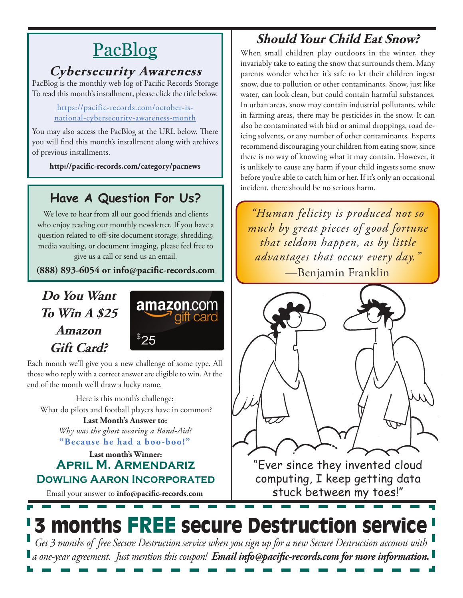# **PacBlog**

#### **Cybersecurity Awareness**

PacBlog is the monthly web log of Pacific Records Storage To read this month's installment, please click the title below.

> [https://pacific-records.com/october-is](https://pacific-records.com/october-is-national-cybersecurity-awareness-month)[national-cybersecurity-awareness-month](https://pacific-records.com/october-is-national-cybersecurity-awareness-month)

You may also access the PacBlog at the URL below. There you will find this month's installment along with archives of previous installments.

**http://pacific-records.com/category/pacnews**

### **Have A Question For Us?**

We love to hear from all our good friends and clients who enjoy reading our monthly newsletter. If you have a question related to off-site document storage, shredding, media vaulting, or document imaging, please feel free to give us a call or send us an email.

**(888) 893-6054 or info@pacific-records.com**

#### **Do You Want To Win A \$25 Amazon Gift Card?**



Each month we'll give you a new challenge of some type. All those who reply with a correct answer are eligible to win. At the end of the month we'll draw a lucky name.

Here is this month's challenge: **Last Month's Answer to:**  What do pilots and football players have in common?

**"Because he had a boo-boo!"** *Why was the ghost wearing a Band-Aid?*

**Last month's Winner: April M. Armendariz Dowling Aaron Incorporated**

Email your answer to **info@pacific-records.com**

## **Should Your Child Eat Snow?**

When small children play outdoors in the winter, they invariably take to eating the snow that surrounds them. Many parents wonder whether it's safe to let their children ingest snow, due to pollution or other contaminants. Snow, just like water, can look clean, but could contain harmful substances. In urban areas, snow may contain industrial pollutants, while in farming areas, there may be pesticides in the snow. It can also be contaminated with bird or animal droppings, road deicing solvents, or any number of other contaminants. Experts recommend discouraging your children from eating snow, since there is no way of knowing what it may contain. However, it is unlikely to cause any harm if your child ingests some snow before you're able to catch him or her. If it's only an occasional incident, there should be no serious harm.

*"Human felicity is produced not so much by great pieces of good fortune that seldom happen, as by little advantages that occur every day."*  —Benjamin Franklin



"Ever since they invented cloud computing, I keep getting data stuck between my toes!"

# 3 months FREE secure Destruction service

*Get 3 months of free Secure Destruction service when you sign up for a new Secure Destruction account with a one-year agreement. Just mention this coupon! Email info@pacific-records.com for more information.*